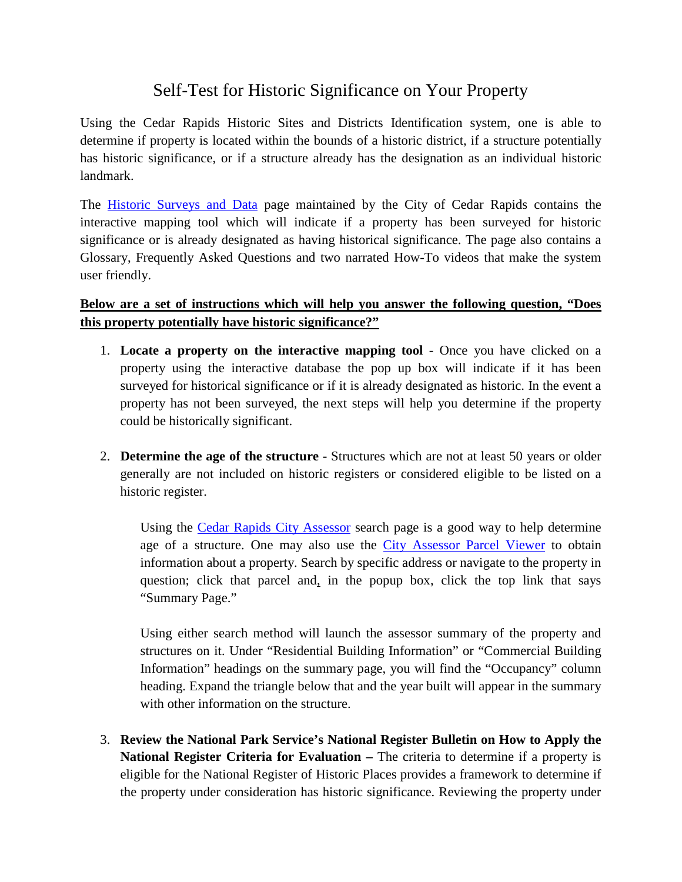## Self-Test for Historic Significance on Your Property

Using the Cedar Rapids Historic Sites and Districts Identification system, one is able to determine if property is located within the bounds of a historic district, if a structure potentially has historic significance, or if a structure already has the designation as an individual historic landmark.

The **[Historic Surveys and Data](http://www.cedar-rapids.org/local_government/departments_a_-_f/community_development/historic_surveys_and_data/index.php)** page maintained by the City of Cedar Rapids contains the interactive mapping tool which will indicate if a property has been surveyed for historic significance or is already designated as having historical significance. The page also contains a Glossary, Frequently Asked Questions and two narrated How-To videos that make the system user friendly.

## **Below are a set of instructions which will help you answer the following question, "Does this property potentially have historic significance?"**

- 1. **Locate a property on the interactive mapping tool** Once you have clicked on a property using the interactive database the pop up box will indicate if it has been surveyed for historical significance or if it is already designated as historic. In the event a property has not been surveyed, the next steps will help you determine if the property could be historically significant.
- 2. **Determine the age of the structure -** Structures which are not at least 50 years or older generally are not included on historic registers or considered eligible to be listed on a historic register.

Using the [Cedar Rapids City Assessor](http://cedarrapids.iowaassessors.com/search.php) search page is a good way to help determine age of a structure. One may also use the [City Assessor Parcel Viewer](http://crgis.cedar-rapids.org/APV/default.htm) to obtain information about a property. Search by specific address or navigate to the property in question; click that parcel and, in the popup box, click the top link that says "Summary Page."

Using either search method will launch the assessor summary of the property and structures on it. Under "Residential Building Information" or "Commercial Building Information" headings on the summary page, you will find the "Occupancy" column heading. Expand the triangle below that and the year built will appear in the summary with other information on the structure.

3. **Review the National Park Service's National Register Bulletin on How to Apply the National Register Criteria for Evaluation –** The criteria to determine if a property is eligible for the National Register of Historic Places provides a framework to determine if the property under consideration has historic significance. Reviewing the property under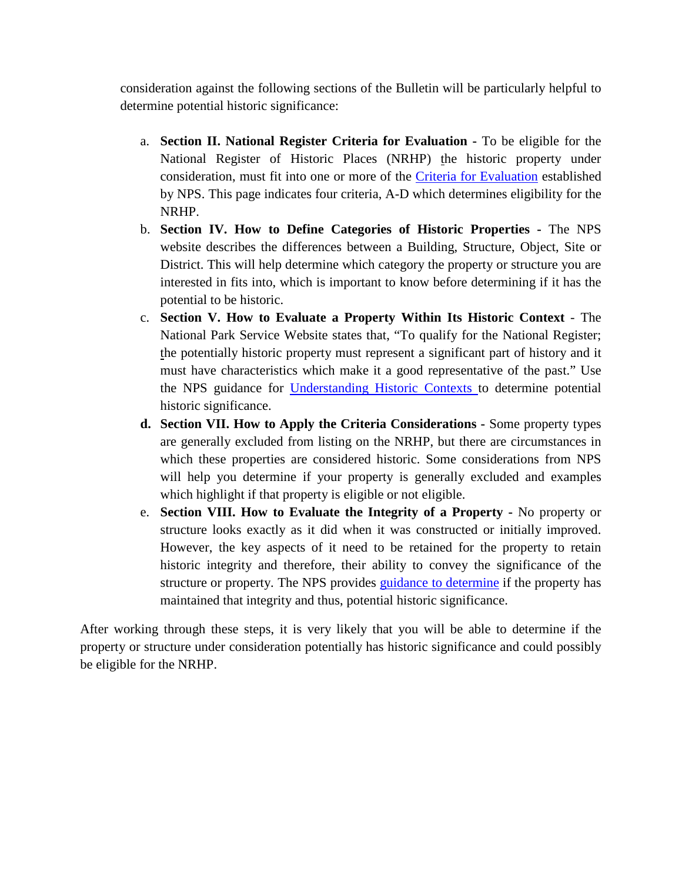consideration against the following sections of the Bulletin will be particularly helpful to determine potential historic significance:

- a. **Section II. National Register Criteria for Evaluation -** To be eligible for the National Register of Historic Places (NRHP) the historic property under consideration, must fit into one or more of the [Criteria for Evaluation](http://www.nps.gov/nr/publications/bulletins/nrb15/nrb15_2.htm) established by NPS. This page indicates four criteria, A-D which determines eligibility for the NRHP.
- b. **Section IV. How to Define Categories of Historic Properties -** The NPS website describes the differences between a Building, Structure, Object, Site or District. This will help determine which category the property or structure you are interested in fits into, which is important to know before determining if it has the potential to be historic.
- c. **Section V. How to Evaluate a Property Within Its Historic Context** The National Park Service Website states that, "To qualify for the National Register; the potentially historic property must represent a significant part of history and it must have characteristics which make it a good representative of the past." Use the NPS guidance for [Understanding Historic Contexts](http://www.nps.gov/nr/publications/bulletins/nrb15/nrb15_5.htm) to determine potential historic significance.
- **d. Section VII. How to Apply the Criteria Considerations -** Some property types are generally excluded from listing on the NRHP, but there are circumstances in which these properties are considered historic. Some considerations from NPS will help you determine if your property is generally excluded and examples which highlight if that property is eligible or not eligible.
- e. **Section VIII. How to Evaluate the Integrity of a Property -** No property or structure looks exactly as it did when it was constructed or initially improved. However, the key aspects of it need to be retained for the property to retain historic integrity and therefore, their ability to convey the significance of the structure or property. The NPS provides [guidance to determine](https://www.nps.gov/nr/publications/bulletins/nrb15/nrb15_8.htm) if the property has maintained that integrity and thus, potential historic significance.

After working through these steps, it is very likely that you will be able to determine if the property or structure under consideration potentially has historic significance and could possibly be eligible for the NRHP.